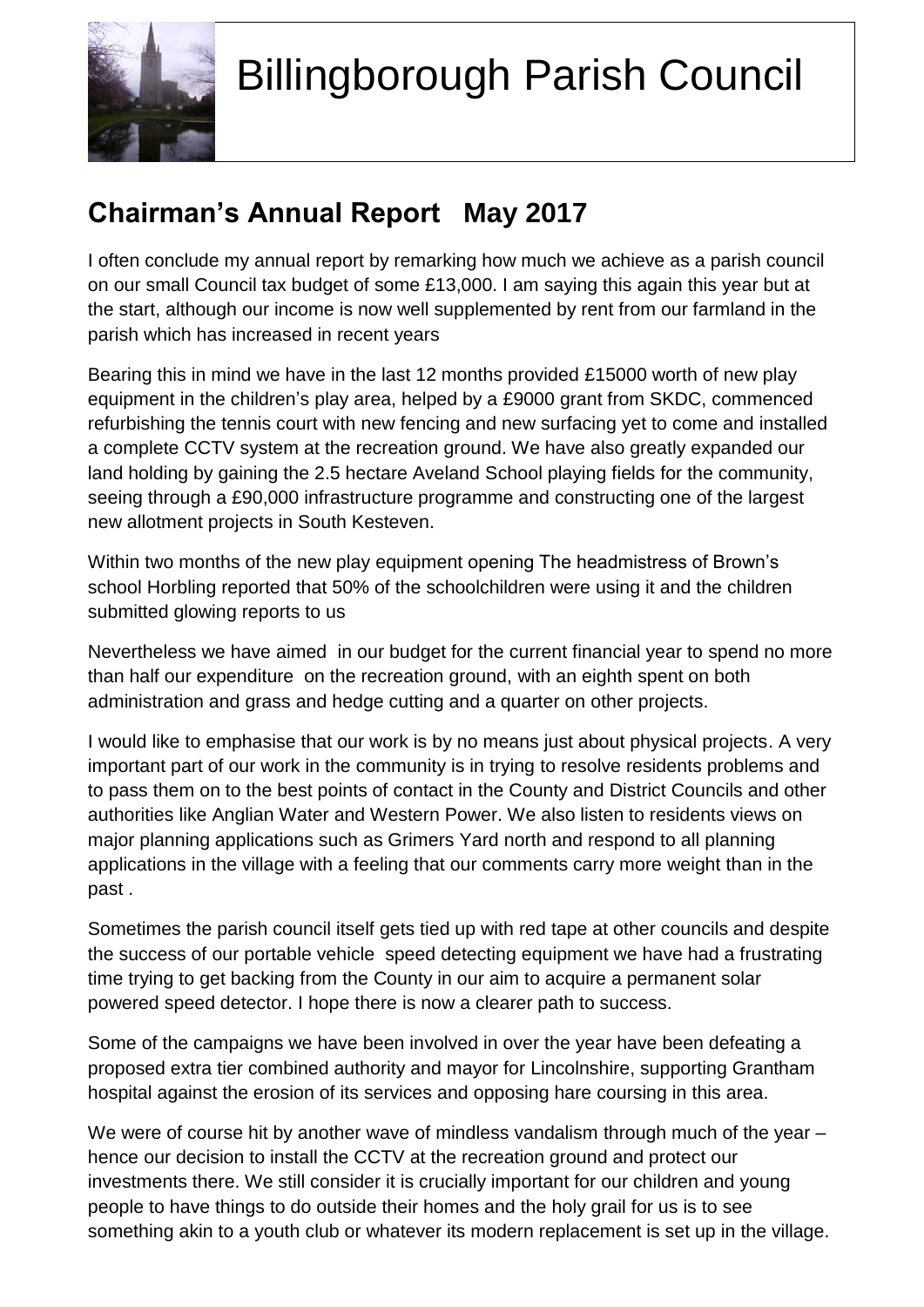

 $\overline{a}$ 

## Billingborough Parish Council

## **Chairman's Annual Report May 2017**

I often conclude my annual report by remarking how much we achieve as a parish council on our small Council tax budget of some £13,000. I am saying this again this year but at the start, although our income is now well supplemented by rent from our farmland in the parish which has increased in recent years

Bearing this in mind we have in the last 12 months provided £15000 worth of new play equipment in the children's play area, helped by a £9000 grant from SKDC, commenced refurbishing the tennis court with new fencing and new surfacing yet to come and installed a complete CCTV system at the recreation ground. We have also greatly expanded our land holding by gaining the 2.5 hectare Aveland School playing fields for the community, seeing through a £90,000 infrastructure programme and constructing one of the largest new allotment projects in South Kesteven.

Within two months of the new play equipment opening The headmistress of Brown's school Horbling reported that 50% of the schoolchildren were using it and the children submitted glowing reports to us

Nevertheless we have aimed in our budget for the current financial year to spend no more than half our expenditure on the recreation ground, with an eighth spent on both administration and grass and hedge cutting and a quarter on other projects.

I would like to emphasise that our work is by no means just about physical projects. A very important part of our work in the community is in trying to resolve residents problems and to pass them on to the best points of contact in the County and District Councils and other authorities like Anglian Water and Western Power. We also listen to residents views on major planning applications such as Grimers Yard north and respond to all planning applications in the village with a feeling that our comments carry more weight than in the past .

Sometimes the parish council itself gets tied up with red tape at other councils and despite the success of our portable vehicle speed detecting equipment we have had a frustrating time trying to get backing from the County in our aim to acquire a permanent solar powered speed detector. I hope there is now a clearer path to success.

Some of the campaigns we have been involved in over the year have been defeating a proposed extra tier combined authority and mayor for Lincolnshire, supporting Grantham hospital against the erosion of its services and opposing hare coursing in this area.

We were of course hit by another wave of mindless vandalism through much of the year – hence our decision to install the CCTV at the recreation ground and protect our investments there. We still consider it is crucially important for our children and young people to have things to do outside their homes and the holy grail for us is to see something akin to a youth club or whatever its modern replacement is set up in the village.